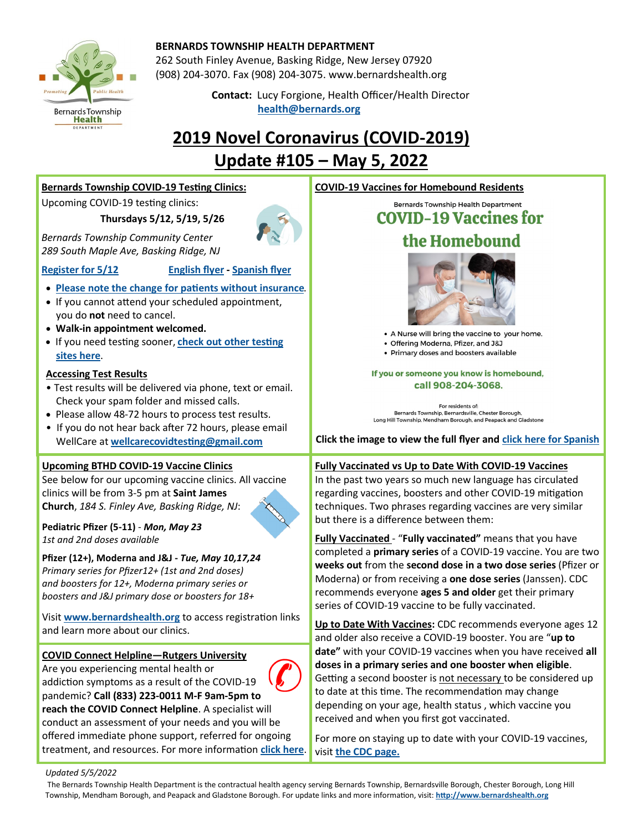

### **BERNARDS TOWNSHIP HEALTH DEPARTMENT**

262 South Finley Avenue, Basking Ridge, New Jersey 07920 (908) 204-3070. Fax (908) 204-3075. [www.bernardshealth.org](http://www.bernardshealth.org)

 **Contact:** Lucy Forgione, Health Officer/Health Director **[health@bernards.org](mailto:health@bernards.org)**<br> **health@bernards.org** 

# **2019 Novel Coronavirus (COVID-2019) Update #105 – May 5, 2022**

| <b>Bernards Township COVID-19 Testing Clinics:</b>                                                                                                                                                                                                                                                                                                                                                                         | <b>COVID-19 Vaccines for Homebound Residents</b>                                                                                                                                                                                                                                                                                                                                                                          |
|----------------------------------------------------------------------------------------------------------------------------------------------------------------------------------------------------------------------------------------------------------------------------------------------------------------------------------------------------------------------------------------------------------------------------|---------------------------------------------------------------------------------------------------------------------------------------------------------------------------------------------------------------------------------------------------------------------------------------------------------------------------------------------------------------------------------------------------------------------------|
| Upcoming COVID-19 testing clinics:<br>Thursdays 5/12, 5/19, 5/26                                                                                                                                                                                                                                                                                                                                                           | Bernards Township Health Department<br><b>COVID-19 Vaccines for</b>                                                                                                                                                                                                                                                                                                                                                       |
| <b>Bernards Township Community Center</b><br>289 South Maple Ave, Basking Ridge, NJ                                                                                                                                                                                                                                                                                                                                        | the Homebound                                                                                                                                                                                                                                                                                                                                                                                                             |
| <b>Register for 5/12</b><br><b>English flyer - Spanish flyer</b><br>• Please note the change for patients without insurance.<br>• If you cannot attend your scheduled appointment,<br>you do not need to cancel.<br>• Walk-in appointment welcomed.<br>. If you need testing sooner, check out other testing<br>sites here.<br><b>Accessing Test Results</b><br>. Test results will be delivered via phone, text or email. | • A Nurse will bring the vaccine to your home.<br>• Offering Moderna, Pfizer, and J&J<br>• Primary doses and boosters available<br>If you or someone you know is homebound,<br>call 908-204-3068.                                                                                                                                                                                                                         |
| Check your spam folder and missed calls.<br>• Please allow 48-72 hours to process test results.<br>• If you do not hear back after 72 hours, please email<br>WellCare at wellcarecovidtesting@gmail.com                                                                                                                                                                                                                    | For residents of:<br>Bernards Township, Bernardsville, Chester Borough,<br>Long Hill Township, Mendham Borough, and Peapack and Gladstone<br>Click the image to view the full flyer and click here for Spanish                                                                                                                                                                                                            |
| <b>Upcoming BTHD COVID-19 Vaccine Clinics</b><br>See below for our upcoming vaccine clinics. All vaccine<br>clinics will be from 3-5 pm at Saint James<br>Church, 184 S. Finley Ave, Basking Ridge, NJ:                                                                                                                                                                                                                    | Fully Vaccinated vs Up to Date With COVID-19 Vaccines<br>In the past two years so much new language has circulated<br>regarding vaccines, boosters and other COVID-19 mitigation<br>techniques. Two phrases regarding vaccines are very similar<br>but there is a difference between them:                                                                                                                                |
| Pediatric Pfizer (5-11) - Mon, May 23<br>1st and 2nd doses available                                                                                                                                                                                                                                                                                                                                                       | Fully Vaccinated - "Fully vaccinated" means that you have                                                                                                                                                                                                                                                                                                                                                                 |
| Pfizer (12+), Moderna and J&J - Tue, May 10,17,24<br>Primary series for Pfizer12+ (1st and 2nd doses)<br>and boosters for 12+, Moderna primary series or<br>boosters and J&J primary dose or boosters for 18+                                                                                                                                                                                                              | completed a primary series of a COVID-19 vaccine. You are two<br>weeks out from the second dose in a two dose series (Pfizer or<br>Moderna) or from receiving a one dose series (Janssen). CDC<br>recommends everyone ages 5 and older get their primary<br>series of COVID-19 vaccine to be fully vaccinated.                                                                                                            |
| Visit www.bernardshealth.org to access registration links<br>and learn more about our clinics.                                                                                                                                                                                                                                                                                                                             | Up to Date With Vaccines: CDC recommends everyone ages 12<br>and older also receive a COVID-19 booster. You are "up to                                                                                                                                                                                                                                                                                                    |
| <b>COVID Connect Helpline-Rutgers University</b><br>Are you experiencing mental health or<br>addiction symptoms as a result of the COVID-19<br>pandemic? Call (833) 223-0011 M-F 9am-5pm to<br>reach the COVID Connect Helpline. A specialist will<br>conduct an assessment of your needs and you will be<br>offered immediate phone support, referred for ongoing                                                         | date" with your COVID-19 vaccines when you have received all<br>doses in a primary series and one booster when eligible.<br>Getting a second booster is not necessary to be considered up<br>to date at this time. The recommendation may change<br>depending on your age, health status, which vaccine you<br>received and when you first got vaccinated.<br>For more on staying up to date with your COVID-19 vaccines, |

*Updated 5/5/2022* 

treatment, and resources. For more information **[click here](https://ubhc.rutgers.edu/clinical/call-center/covid-connect.xml)**.

The Bernards Township Health Department is the contractual health agency serving Bernards Township, Bernardsville Borough, Chester Borough, Long Hill Township, Mendham Borough, and Peapack and Gladstone Borough. For update links and more information, visit: **<http://www.bernardshealth.org>**

visit **[the CDC page.](https://www.cdc.gov/coronavirus/2019-ncov/vaccines/stay-up-to-date.html?s_cid=11747:cdc%20up%20to%20date%20vaccine:sem.ga:p:RG:GM:gen:PTN:FY22)**